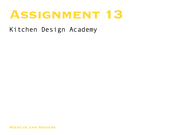# ASSIGNMENT 18

Kitchen Design Academy

**Mientjie van Niekerk**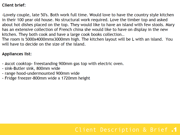#### **Client brief:**

-Lovely couple, late 50's. Both work full time. Would love to have the country style kitchen in their 100 year old house. No structural work required. Love the timber top and asked about hot dishes placed on the top. They would like to have an island with few stools. Mary has an extensive collection of French china she would like to have on display in the new kitchen. They both cook and have a large cook books collection..

The room is 5000x4000mmx3000mm high. The kitchen layout will be L with an island. You will have to decide on the size of the island.

### **Appliances list:**

- Ascot cooktop- freestanding 900mm gas top with electric oven.
- sink-Butler sink, 800mm wide
- range hood-undermounted 900mm wide
- Fridge freezer-800mm wide x 1720mm height

### Client Description & Brief .1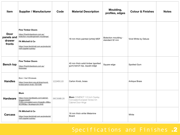| Item                                          | <b>Supplier / Manufacturer</b><br>Code                                                                                                                                                                  | <b>Material Description</b>                                                               | Moulding,<br>profiles, edges           | <b>Colour &amp; Finishes</b><br><b>Notes</b> |
|-----------------------------------------------|---------------------------------------------------------------------------------------------------------------------------------------------------------------------------------------------------------|-------------------------------------------------------------------------------------------|----------------------------------------|----------------------------------------------|
| <b>Door</b><br>panels and<br>drawer<br>fronts | <b>Fine Timber Doors</b><br>https://finertimberdoors.com.au/<br>bolection-mouldingsinsert-mouldings/,<br><b>FA Mitchell &amp; Co</b><br>https://www.famitchell.com.au/products/<br>mdf-supplier-sydney/ | 18 mm thick painted (white) MDF                                                           | Bolection moulding -<br>standard 32 mm | Vivid White by Deluxe                        |
| <b>Bench top</b>                              | <b>Fine Timber Doors</b><br>https://finertimberdoors.com.au/<br>thickness/                                                                                                                              | 40 mm thick solid timber (spotted<br>gum) bench top, square edge                          | Square edge                            | <b>Spotted Gum</b>                           |
| <b>Handles</b>                                | Blum / Hart Wholesale<br>12249110<br>https://www.blum.org.uk/shop/round-<br>knobs/carton-knob-1031536/                                                                                                  | Carton Knob, brass                                                                        |                                        | <b>Antique Brass</b>                         |
| <b>Hardware</b>                               | <b>Blum</b><br>https://www.handlesets.com/cabinet-<br>39C358B.20<br>hinges/c3440?<br>f1350=concealed+euro+hinges&r=48&s=<br>SCORE&p=1&categoryId=3440                                                   | <b>Blum</b> COMPACT 1/2 Inch Overlay<br>Concealed European Screw-On<br>Cabinet Door Hinge |                                        |                                              |
| <b>Carcass</b>                                | FA Mitchell & Co<br>https://www.famitchell.com.au/products/<br>mdf-supplier-sydney/                                                                                                                     | 16 mm thick white Melamine<br><b>Board</b>                                                |                                        | White                                        |

### Specifications and Finishes .2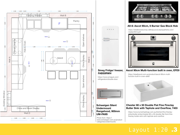



#### **Smeg Fridge/ freezer, FAB50RWH**

0 1 https://www.smeguk.com/ refrigerators/double-door



|<br>|<br>| 2000<br>| | 1000 900 900 **Schweigen Silent Undermount Rangehood, 900mm UM-PA9S**

Photo from: https:// www.schweigen.com.au/productcategories/undermounts



#### **A9-6: Ascot 90cm, 6 Burner Gas Block Hob**

https://steelbrandcomau-s9ihdyxurcd.stackpathdns.com/ media/A9-6.pdf



#### **Ascot 90cm Multi-function built in oven, EFE9**

https://steelbrand.com.au/product/ascot-90cm-multifunction-built-in-oven-afe9/



#### **Chester 80 x 50 Double Flat Fine Fireclay Butler Sink with Taphole and Over flow, 7403**

https://www.turnerhastings.com.au/kitchen/fine-fireclaysinks/butler-sinks/chester-80-x-50-double-flat-front-fine fireclay-butler-sink-with-taphole-and-overflow

### 120 300 220 220 Layout 1:20 .3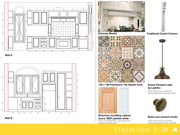

01 Wallace **Management and the United States of the United States and Tabes and Tabes and Tabes and Tabes and Wall A**









**150 x 150 Patchwork Tile Splash back** 



doors, MDF painted white **Bolection moulding cabinet**  https://www.jastimber.co.uk/cesena-prefinished-white-fire-door

356 **Chimney Mantle Traditional Corbel Column**



#### **Emery Pendant Light by LightCo**

https://lightco.com.au/interior/ pendant-light/emery-pendant-light/



**Brass and ceramic knobs**

https://www.blum.org.uk/shop/ round-knobs/carton-knob-1031536/

Elevations 1:20 .4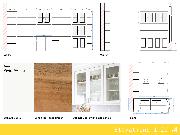





 $\frac{1}{2}$  which can be a set of  $\frac{1}{2}$  which can be a set of  $\frac{1}{2}$  which can be a set of  $\frac{1}{2}$  which can be a set of  $\frac{1}{2}$  which can be a set of  $\frac{1}{2}$  which can be a set of  $\frac{1}{2}$  which can be a set **Wall C Wall D**



Cabinet Doors Bench top - solid timber

Cabinet Doors **Bench top - solid timber Cabinet Doors with glass panels 15 Island** 

**Island** 

 $-0,350$ 0,014

#### Elevations 1:20 .4 450 50 250

 $-0,720$  0,720

0,016  $-0,285$ 0,095